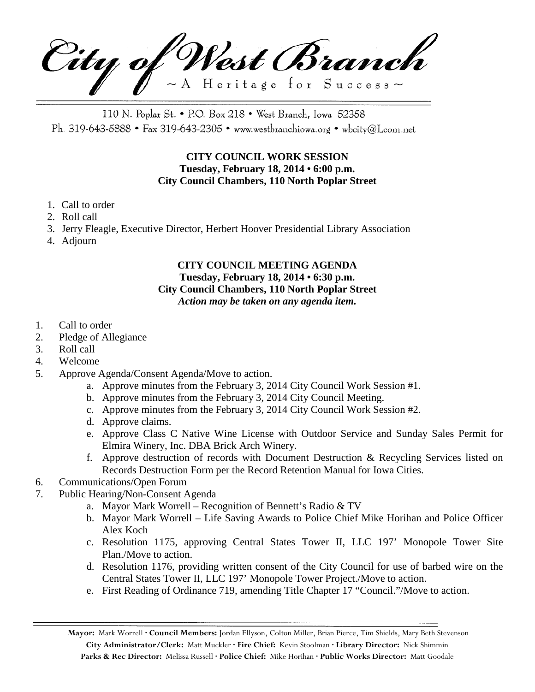City of West Branch  $\sim$  A Heritage for Success $\sim$ 

110 N. Poplar St. • P.O. Box 218 • West Branch, Iowa 52358 Ph. 319-643-5888 • Fax 319-643-2305 • www.westbranchiowa.org • wbcity@Lcom.net

# **CITY COUNCIL WORK SESSION Tuesday, February 18, 2014 • 6:00 p.m. City Council Chambers, 110 North Poplar Street**

- 1. Call to order
- 2. Roll call
- 3. Jerry Fleagle, Executive Director, Herbert Hoover Presidential Library Association
- 4. Adjourn

## **CITY COUNCIL MEETING AGENDA Tuesday, February 18, 2014 • 6:30 p.m. City Council Chambers, 110 North Poplar Street** *Action may be taken on any agenda item.*

- 1. Call to order
- 2. Pledge of Allegiance
- 3. Roll call
- 4. Welcome
- 5. Approve Agenda/Consent Agenda/Move to action.
	- a. Approve minutes from the February 3, 2014 City Council Work Session #1.
	- b. Approve minutes from the February 3, 2014 City Council Meeting.
	- c. Approve minutes from the February 3, 2014 City Council Work Session #2.
	- d. Approve claims.
	- e. Approve Class C Native Wine License with Outdoor Service and Sunday Sales Permit for Elmira Winery, Inc. DBA Brick Arch Winery.
	- f. Approve destruction of records with Document Destruction & Recycling Services listed on Records Destruction Form per the Record Retention Manual for Iowa Cities.
- 6. Communications/Open Forum
- 7. Public Hearing/Non-Consent Agenda
	- a. Mayor Mark Worrell Recognition of Bennett's Radio & TV
	- b. Mayor Mark Worrell Life Saving Awards to Police Chief Mike Horihan and Police Officer Alex Koch
	- c. Resolution 1175, approving Central States Tower II, LLC 197' Monopole Tower Site Plan./Move to action.
	- d. Resolution 1176, providing written consent of the City Council for use of barbed wire on the Central States Tower II, LLC 197' Monopole Tower Project./Move to action.
	- e. First Reading of Ordinance 719, amending Title Chapter 17 "Council."/Move to action.

**Mayor:** Mark Worrell **· Council Members:** Jordan Ellyson, Colton Miller, Brian Pierce, Tim Shields, Mary Beth Stevenson **City Administrator/Clerk:** Matt Muckler **· Fire Chief:** Kevin Stoolman **· Library Director:** Nick Shimmin **Parks & Rec Director:** Melissa Russell **· Police Chief:** Mike Horihan **· Public Works Director:** Matt Goodale